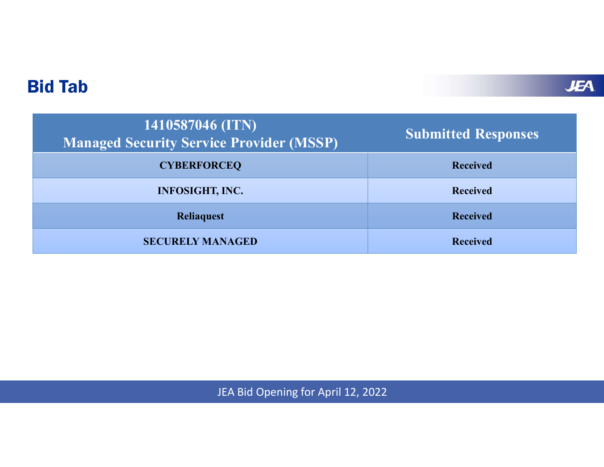| <b>Bid Tab</b>                                                      |                            | <b>JEA</b> |
|---------------------------------------------------------------------|----------------------------|------------|
|                                                                     |                            |            |
| 1410587046 (ITN)<br><b>Managed Security Service Provider (MSSP)</b> | <b>Submitted Responses</b> |            |
| <b>CYBERFORCEQ</b>                                                  | <b>Received</b>            |            |
| <b>INFOSIGHT, INC.</b>                                              | <b>Received</b>            |            |
| <b>Reliaquest</b>                                                   | <b>Received</b>            |            |
| <b>SECURELY MANAGED</b>                                             | <b>Received</b>            |            |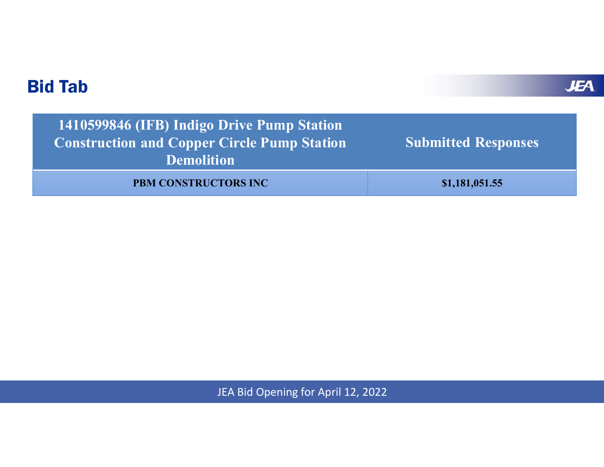| <b>JEA</b>                 |
|----------------------------|
| <b>Submitted Responses</b> |
| \$1,181,051.55             |
|                            |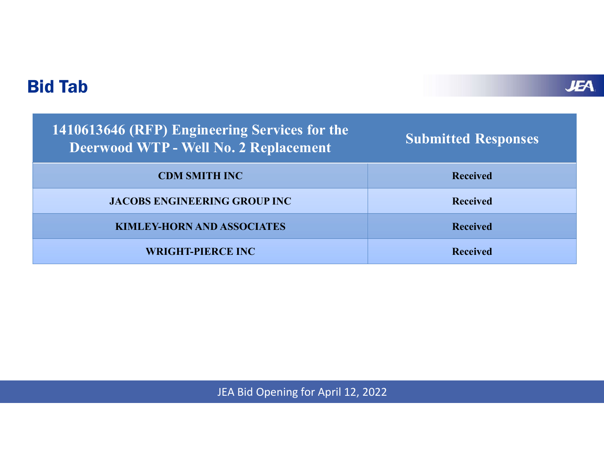| <b>Sid Tab</b>                                                                         |                            | <b>JEA</b> |
|----------------------------------------------------------------------------------------|----------------------------|------------|
| 1410613646 (RFP) Engineering Services for the<br>Deerwood WTP - Well No. 2 Replacement | <b>Submitted Responses</b> |            |
| <b>CDM SMITH INC</b>                                                                   | <b>Received</b>            |            |
| <b>JACOBS ENGINEERING GROUP INC</b>                                                    | <b>Received</b>            |            |
| KIMLEY-HORN AND ASSOCIATES                                                             | <b>Received</b>            |            |
| <b>WRIGHT-PIERCE INC</b>                                                               | <b>Received</b>            |            |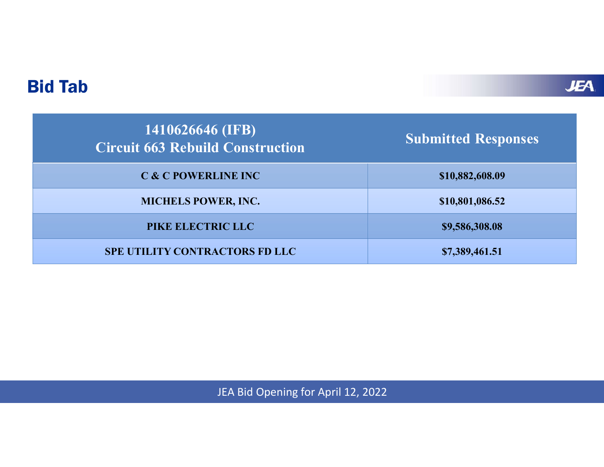| <b>id Tab</b>                                               |                            | <b>JEA</b> |
|-------------------------------------------------------------|----------------------------|------------|
| 1410626646 (IFB)<br><b>Circuit 663 Rebuild Construction</b> | <b>Submitted Responses</b> |            |
| <b>C &amp; C POWERLINE INC</b>                              | \$10,882,608.09            |            |
| <b>MICHELS POWER, INC.</b>                                  | \$10,801,086.52            |            |
| PIKE ELECTRIC LLC                                           | \$9,586,308.08             |            |
| SPE UTILITY CONTRACTORS FD LLC                              | \$7,389,461.51             |            |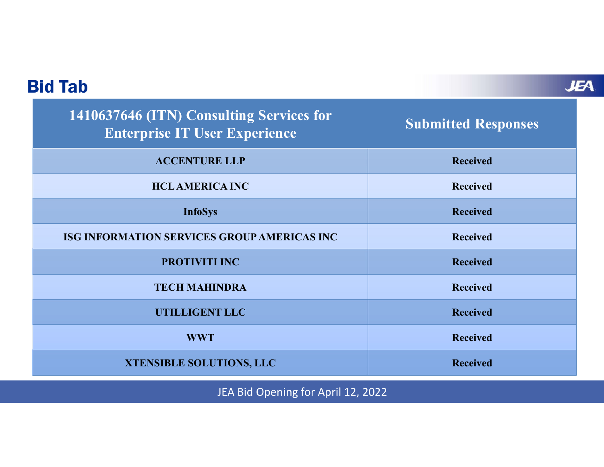| <b>Bid Tab</b><br>1410637646 (ITN) Consulting Services for<br><b>Enterprise IT User Experience</b> | <b>Submitted Responses</b> |
|----------------------------------------------------------------------------------------------------|----------------------------|
| <b>ACCENTURE LLP</b>                                                                               | <b>Received</b>            |
| <b>HCLAMERICA INC</b>                                                                              | <b>Received</b>            |
| <b>InfoSys</b>                                                                                     | <b>Received</b>            |
| ISG INFORMATION SERVICES GROUP AMERICAS INC                                                        | <b>Received</b>            |
| <b>PROTIVITI INC</b>                                                                               | <b>Received</b>            |
| <b>TECH MAHINDRA</b>                                                                               | <b>Received</b>            |
| UTILLIGENT LLC                                                                                     | <b>Received</b>            |
| <b>WWT</b>                                                                                         | <b>Received</b>            |
| XTENSIBLE SOLUTIONS, LLC                                                                           | <b>Received</b>            |